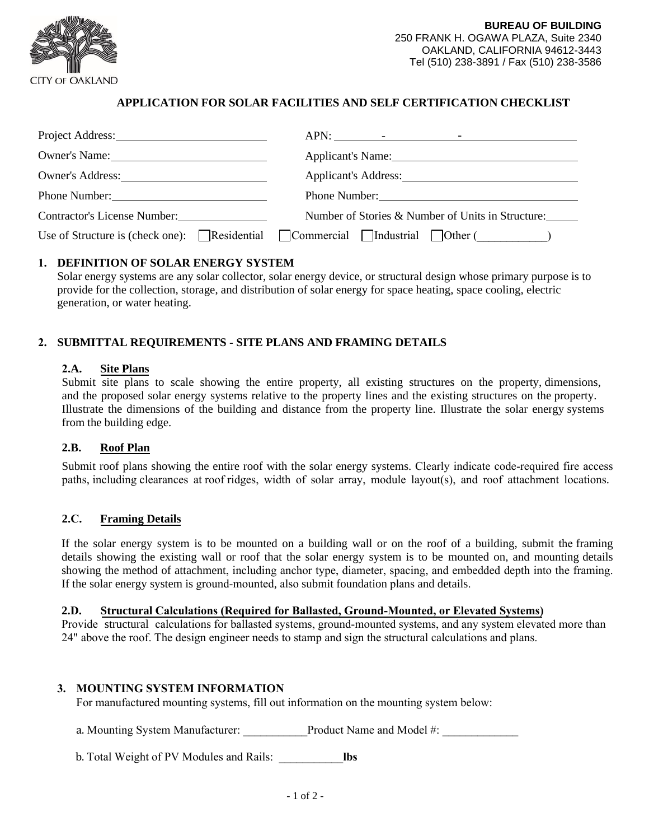

## **APPLICATION FOR SOLAR FACILITIES AND SELF CERTIFICATION CHECKLIST**

| Project Address: New York Changes and Separate Separate Separate Separate Separate Separate Separate Separate Separate Separate Separate Separate Separate Separate Separate Separate Separate Separate Separate Separate Sepa |                                                                             |  |  |
|--------------------------------------------------------------------------------------------------------------------------------------------------------------------------------------------------------------------------------|-----------------------------------------------------------------------------|--|--|
| Owner's Name:                                                                                                                                                                                                                  | Applicant's Name: 1986.                                                     |  |  |
| Owner's Address:                                                                                                                                                                                                               | Applicant's Address:                                                        |  |  |
| Phone Number:                                                                                                                                                                                                                  | Phone Number:                                                               |  |  |
| <b>Contractor's License Number:</b>                                                                                                                                                                                            | Number of Stories & Number of Units in Structure:                           |  |  |
|                                                                                                                                                                                                                                | Use of Structure is (check one): Residential Commercial Industrial Other () |  |  |

### **1. DEFINITION OF SOLAR ENERGY SYSTEM**

Solar energy systems are any solar collector, solar energy device, or structural design whose primary purpose is to provide for the collection, storage, and distribution of solar energy for space heating, space cooling, electric generation, or water heating.

## **2. SUBMITTAL REQUIREMENTS - SITE PLANS AND FRAMING DETAILS**

#### **2.A. Site Plans**

Submit site plans to scale showing the entire property, all existing structures on the property, dimensions, and the proposed solar energy systems relative to the property lines and the existing structures on the property. Illustrate the dimensions of the building and distance from the property line. Illustrate the solar energy systems from the building edge.

#### **2.B. Roof Plan**

Submit roof plans showing the entire roof with the solar energy systems. Clearly indicate code-required fire access paths, including clearances at roof ridges, width of solar array, module layout(s), and roof attachment locations.

#### **2.C. Framing Details**

If the solar energy system is to be mounted on a building wall or on the roof of a building, submit the framing details showing the existing wall or roof that the solar energy system is to be mounted on, and mounting details showing the method of attachment, including anchor type, diameter, spacing, and embedded depth into the framing. If the solar energy system is ground-mounted, also submit foundation plans and details.

#### **2.D. Structural Calculations (Required for Ballasted, Ground-Mounted, or Elevated Systems)**

Provide structural calculations for ballasted systems, ground-mounted systems, and any system elevated more than 24" above the roof. The design engineer needs to stamp and sign the structural calculations and plans.

#### **3. MOUNTING SYSTEM INFORMATION**

For manufactured mounting systems, fill out information on the mounting system below:

a. Mounting System Manufacturer: <br>Product Name and Model #:

b. Total Weight of PV Modules and Rails: \_\_\_\_\_\_\_\_\_\_\_**lbs**